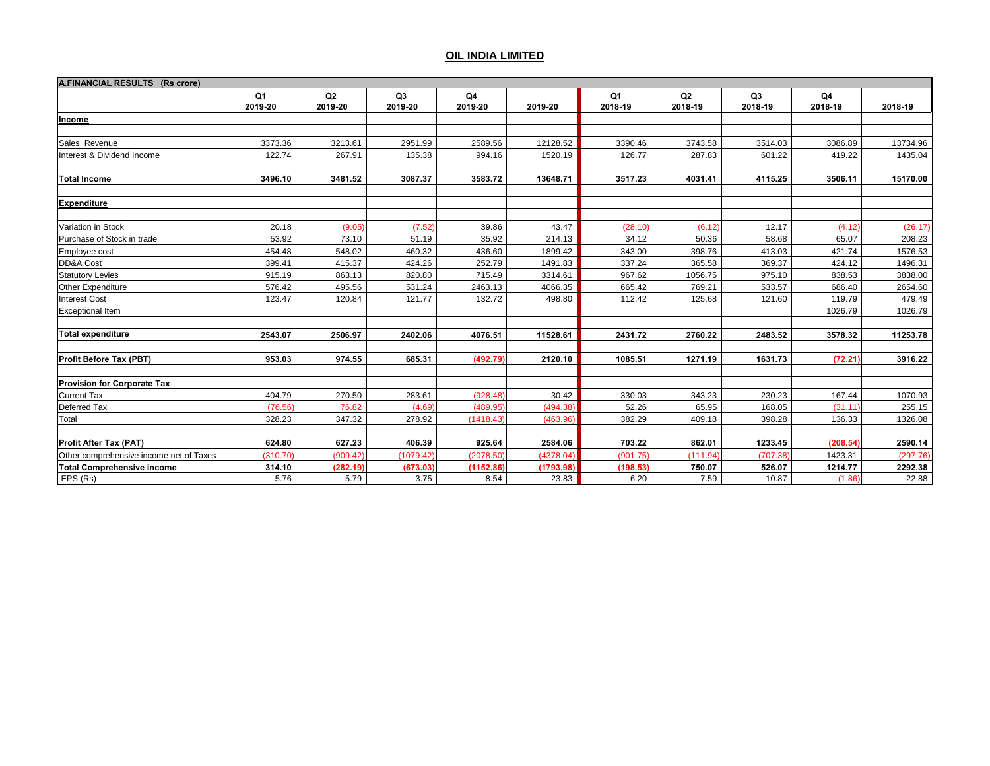| A.FINANCIAL RESULTS (Rs crore)          |                           |               |               |               |           |               |                           |                           |               |          |
|-----------------------------------------|---------------------------|---------------|---------------|---------------|-----------|---------------|---------------------------|---------------------------|---------------|----------|
|                                         | Q <sub>1</sub><br>2019-20 | Q2<br>2019-20 | Q3<br>2019-20 | Q4<br>2019-20 | 2019-20   | Q1<br>2018-19 | Q <sub>2</sub><br>2018-19 | Q <sub>3</sub><br>2018-19 | Q4<br>2018-19 | 2018-19  |
| Income                                  |                           |               |               |               |           |               |                           |                           |               |          |
|                                         |                           |               |               |               |           |               |                           |                           |               |          |
| Sales Revenue                           | 3373.36                   | 3213.61       | 2951.99       | 2589.56       | 12128.52  | 3390.46       | 3743.58                   | 3514.03                   | 3086.89       | 13734.96 |
| Interest & Dividend Income              | 122.74                    | 267.91        | 135.38        | 994.16        | 1520.19   | 126.77        | 287.83                    | 601.22                    | 419.22        | 1435.04  |
| <b>Total Income</b>                     | 3496.10                   | 3481.52       | 3087.37       | 3583.72       | 13648.71  | 3517.23       | 4031.41                   | 4115.25                   | 3506.11       | 15170.00 |
| <b>Expenditure</b>                      |                           |               |               |               |           |               |                           |                           |               |          |
| Variation in Stock                      | 20.18                     | (9.05)        | (7.52)        | 39.86         | 43.47     | (28.10)       | (6.12)                    | 12.17                     | (4.12)        | (26.17)  |
| Purchase of Stock in trade              | 53.92                     | 73.10         | 51.19         | 35.92         | 214.13    | 34.12         | 50.36                     | 58.68                     | 65.07         | 208.23   |
| Employee cost                           | 454.48                    | 548.02        | 460.32        | 436.60        | 1899.42   | 343.00        | 398.76                    | 413.03                    | 421.74        | 1576.53  |
| DD&A Cost                               | 399.41                    | 415.37        | 424.26        | 252.79        | 1491.83   | 337.24        | 365.58                    | 369.37                    | 424.12        | 1496.31  |
| <b>Statutory Levies</b>                 | 915.19                    | 863.13        | 820.80        | 715.49        | 3314.61   | 967.62        | 1056.75                   | 975.10                    | 838.53        | 3838.00  |
| Other Expenditure                       | 576.42                    | 495.56        | 531.24        | 2463.13       | 4066.35   | 665.42        | 769.21                    | 533.57                    | 686.40        | 2654.60  |
| <b>Interest Cost</b>                    | 123.47                    | 120.84        | 121.77        | 132.72        | 498.80    | 112.42        | 125.68                    | 121.60                    | 119.79        | 479.49   |
| <b>Exceptional Item</b>                 |                           |               |               |               |           |               |                           |                           | 1026.79       | 1026.79  |
| <b>Total expenditure</b>                | 2543.07                   | 2506.97       | 2402.06       | 4076.51       | 11528.61  | 2431.72       | 2760.22                   | 2483.52                   | 3578.32       | 11253.78 |
| Profit Before Tax (PBT)                 | 953.03                    | 974.55        | 685.31        | (492.79)      | 2120.10   | 1085.51       | 1271.19                   | 1631.73                   | (72.21)       | 3916.22  |
| <b>Provision for Corporate Tax</b>      |                           |               |               |               |           |               |                           |                           |               |          |
| <b>Current Tax</b>                      | 404.79                    | 270.50        | 283.61        | (928.48)      | 30.42     | 330.03        | 343.23                    | 230.23                    | 167.44        | 1070.93  |
| Deferred Tax                            | (76.56)                   | 76.82         | (4.69)        | (489.95)      | (494.38)  | 52.26         | 65.95                     | 168.05                    | (31.11)       | 255.15   |
| Total                                   | 328.23                    | 347.32        | 278.92        | (1418.43)     | (463.96)  | 382.29        | 409.18                    | 398.28                    | 136.33        | 1326.08  |
| Profit After Tax (PAT)                  | 624.80                    | 627.23        | 406.39        | 925.64        | 2584.06   | 703.22        | 862.01                    | 1233.45                   | (208.54)      | 2590.14  |
| Other comprehensive income net of Taxes | (310.70)                  | (909.42)      | (1079.42)     | (2078.50)     | (4378.04) | (901.75)      | (111.94)                  | (707.38)                  | 1423.31       | (297.76) |
| <b>Total Comprehensive income</b>       | 314.10                    | (282.19)      | (673.03)      | (1152.86)     | (1793.98) | (198.53)      | 750.07                    | 526.07                    | 1214.77       | 2292.38  |
| EPS (Rs)                                | 5.76                      | 5.79          | 3.75          | 8.54          | 23.83     | 6.20          | 7.59                      | 10.87                     | (1.86)        | 22.88    |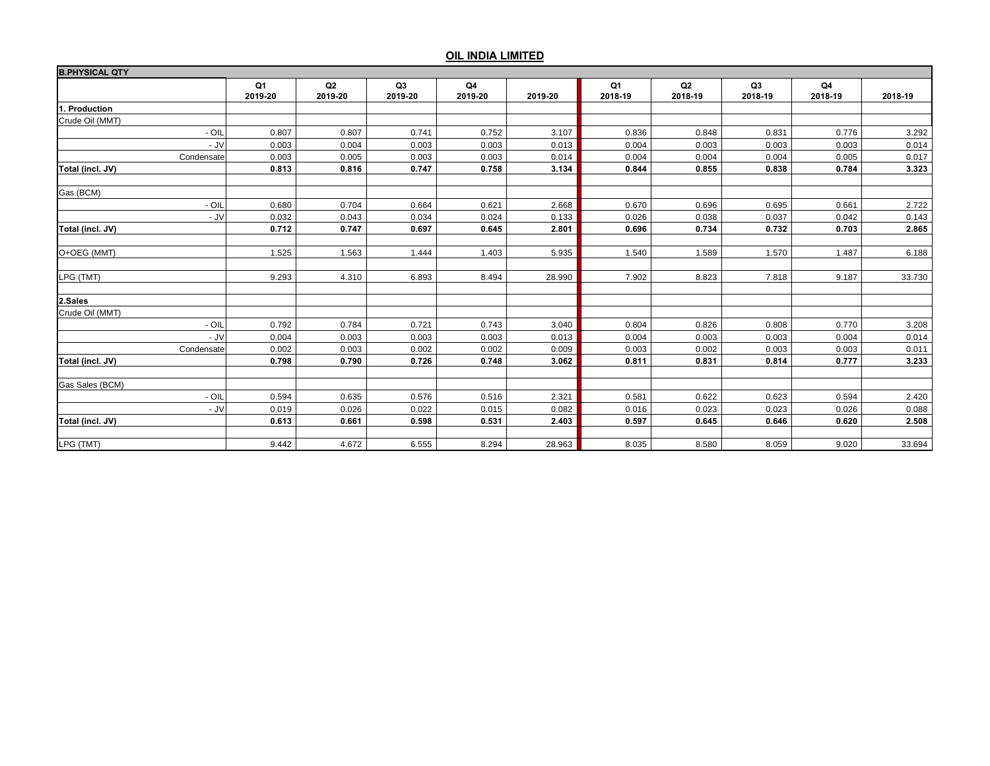| <b>B.PHYSICAL QTY</b> |               |               |                           |               |         |               |               |                           |               |         |
|-----------------------|---------------|---------------|---------------------------|---------------|---------|---------------|---------------|---------------------------|---------------|---------|
|                       | Q1<br>2019-20 | Q2<br>2019-20 | Q <sub>3</sub><br>2019-20 | Q4<br>2019-20 | 2019-20 | Q1<br>2018-19 | Q2<br>2018-19 | Q <sub>3</sub><br>2018-19 | Q4<br>2018-19 | 2018-19 |
| 1. Production         |               |               |                           |               |         |               |               |                           |               |         |
| Crude Oil (MMT)       |               |               |                           |               |         |               |               |                           |               |         |
| - OIL                 | 0.807         | 0.807         | 0.741                     | 0.752         | 3.107   | 0.836         | 0.848         | 0.831                     | 0.776         | 3.292   |
| $-JV$                 | 0.003         | 0.004         | 0.003                     | 0.003         | 0.013   | 0.004         | 0.003         | 0.003                     | 0.003         | 0.014   |
| Condensate            | 0.003         | 0.005         | 0.003                     | 0.003         | 0.014   | 0.004         | 0.004         | 0.004                     | 0.005         | 0.017   |
| Total (incl. JV)      | 0.813         | 0.816         | 0.747                     | 0.758         | 3.134   | 0.844         | 0.855         | 0.838                     | 0.784         | 3.323   |
| Gas (BCM)             |               |               |                           |               |         |               |               |                           |               |         |
| $-$ OII               | 0.680         | 0.704         | 0.664                     | 0.621         | 2.668   | 0.670         | 0.696         | 0.695                     | 0.661         | 2.722   |
| $-JV$                 | 0.032         | 0.043         | 0.034                     | 0.024         | 0.133   | 0.026         | 0.038         | 0.037                     | 0.042         | 0.143   |
| Total (incl. JV)      | 0.712         | 0.747         | 0.697                     | 0.645         | 2.801   | 0.696         | 0.734         | 0.732                     | 0.703         | 2.865   |
|                       |               |               |                           |               |         |               |               |                           |               |         |
| O+OEG (MMT)           | 1.525         | 1.563         | 1.444                     | 1.403         | 5.935   | 1.540         | 1.589         | 1.570                     | 1.487         | 6.188   |
| LPG (TMT)             | 9.293         | 4.310         | 6.893                     | 8.494         | 28.990  | 7.902         | 8.823         | 7.818                     | 9.187         | 33.730  |
| 2.Sales               |               |               |                           |               |         |               |               |                           |               |         |
| Crude Oil (MMT)       |               |               |                           |               |         |               |               |                           |               |         |
| - OIL                 | 0.792         | 0.784         | 0.721                     | 0.743         | 3.040   | 0.804         | 0.826         | 0.808                     | 0.770         | 3.208   |
| $-JV$                 | 0.004         | 0.003         | 0.003                     | 0.003         | 0.013   | 0.004         | 0.003         | 0.003                     | 0.004         | 0.014   |
| Condensate            | 0.002         | 0.003         | 0.002                     | 0.002         | 0.009   | 0.003         | 0.002         | 0.003                     | 0.003         | 0.011   |
| Total (incl. JV)      | 0.798         | 0.790         | 0.726                     | 0.748         | 3.062   | 0.811         | 0.831         | 0.814                     | 0.777         | 3.233   |
| Gas Sales (BCM)       |               |               |                           |               |         |               |               |                           |               |         |
| - OIL                 | 0.594         | 0.635         | 0.576                     | 0.516         | 2.321   | 0.581         | 0.622         | 0.623                     | 0.594         | 2.420   |
| - JV                  | 0.019         | 0.026         | 0.022                     | 0.015         | 0.082   | 0.016         | 0.023         | 0.023                     | 0.026         | 0.088   |
| Total (incl. JV)      | 0.613         | 0.661         | 0.598                     | 0.531         | 2.403   | 0.597         | 0.645         | 0.646                     | 0.620         | 2.508   |
|                       |               |               |                           |               |         |               |               |                           |               |         |
| LPG (TMT)             | 9.442         | 4.672         | 6.555                     | 8.294         | 28.963  | 8.035         | 8.580         | 8.059                     | 9.020         | 33.694  |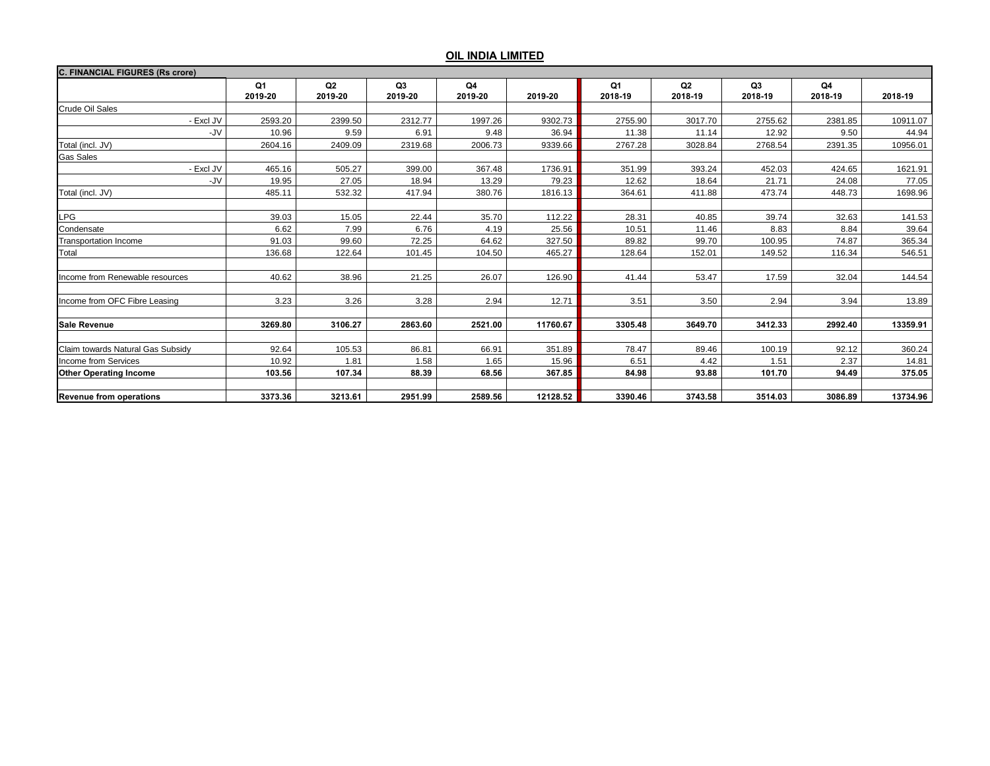| <b>C. FINANCIAL FIGURES (Rs crore)</b> |               |               |                           |               |          |               |                           |               |               |          |  |
|----------------------------------------|---------------|---------------|---------------------------|---------------|----------|---------------|---------------------------|---------------|---------------|----------|--|
|                                        | Q1<br>2019-20 | Q2<br>2019-20 | Q <sub>3</sub><br>2019-20 | Q4<br>2019-20 | 2019-20  | Q1<br>2018-19 | Q <sub>2</sub><br>2018-19 | Q3<br>2018-19 | Q4<br>2018-19 | 2018-19  |  |
| Crude Oil Sales                        |               |               |                           |               |          |               |                           |               |               |          |  |
| - Excl JV                              | 2593.20       | 2399.50       | 2312.77                   | 1997.26       | 9302.73  | 2755.90       | 3017.70                   | 2755.62       | 2381.85       | 10911.07 |  |
| -JV                                    | 10.96         | 9.59          | 6.91                      | 9.48          | 36.94    | 11.38         | 11.14                     | 12.92         | 9.50          | 44.94    |  |
| Total (incl. JV)                       | 2604.16       | 2409.09       | 2319.68                   | 2006.73       | 9339.66  | 2767.28       | 3028.84                   | 2768.54       | 2391.35       | 10956.01 |  |
| <b>Gas Sales</b>                       |               |               |                           |               |          |               |                           |               |               |          |  |
| - Excl JV                              | 465.16        | 505.27        | 399.00                    | 367.48        | 1736.91  | 351.99        | 393.24                    | 452.03        | 424.65        | 1621.91  |  |
| -JV                                    | 19.95         | 27.05         | 18.94                     | 13.29         | 79.23    | 12.62         | 18.64                     | 21.71         | 24.08         | 77.05    |  |
| Total (incl. JV)                       | 485.11        | 532.32        | 417.94                    | 380.76        | 1816.13  | 364.61        | 411.88                    | 473.74        | 448.73        | 1698.96  |  |
|                                        |               |               |                           |               |          |               |                           |               |               |          |  |
| LPG                                    | 39.03         | 15.05         | 22.44                     | 35.70         | 112.22   | 28.31         | 40.85                     | 39.74         | 32.63         | 141.53   |  |
| Condensate                             | 6.62          | 7.99          | 6.76                      | 4.19          | 25.56    | 10.51         | 11.46                     | 8.83          | 8.84          | 39.64    |  |
| Transportation Income                  | 91.03         | 99.60         | 72.25                     | 64.62         | 327.50   | 89.82         | 99.70                     | 100.95        | 74.87         | 365.34   |  |
| Total                                  | 136.68        | 122.64        | 101.45                    | 104.50        | 465.27   | 128.64        | 152.01                    | 149.52        | 116.34        | 546.51   |  |
|                                        |               |               |                           |               |          |               |                           |               |               |          |  |
| Income from Renewable resources        | 40.62         | 38.96         | 21.25                     | 26.07         | 126.90   | 41.44         | 53.47                     | 17.59         | 32.04         | 144.54   |  |
|                                        |               |               |                           |               |          |               |                           |               |               |          |  |
| Income from OFC Fibre Leasing          | 3.23          | 3.26          | 3.28                      | 2.94          | 12.71    | 3.51          | 3.50                      | 2.94          | 3.94          | 13.89    |  |
|                                        |               |               |                           |               |          |               |                           |               |               |          |  |
| <b>Sale Revenue</b>                    | 3269.80       | 3106.27       | 2863.60                   | 2521.00       | 11760.67 | 3305.48       | 3649.70                   | 3412.33       | 2992.40       | 13359.91 |  |
| Claim towards Natural Gas Subsidy      | 92.64         | 105.53        | 86.81                     | 66.91         | 351.89   | 78.47         | 89.46                     | 100.19        | 92.12         | 360.24   |  |
| Income from Services                   | 10.92         | 1.81          | 1.58                      | 1.65          | 15.96    | 6.51          | 4.42                      | 1.51          | 2.37          | 14.81    |  |
| <b>Other Operating Income</b>          | 103.56        | 107.34        | 88.39                     | 68.56         | 367.85   | 84.98         | 93.88                     | 101.70        | 94.49         | 375.05   |  |
|                                        |               |               |                           |               |          |               |                           |               |               |          |  |
| <b>Revenue from operations</b>         | 3373.36       | 3213.61       | 2951.99                   | 2589.56       | 12128.52 | 3390.46       | 3743.58                   | 3514.03       | 3086.89       | 13734.96 |  |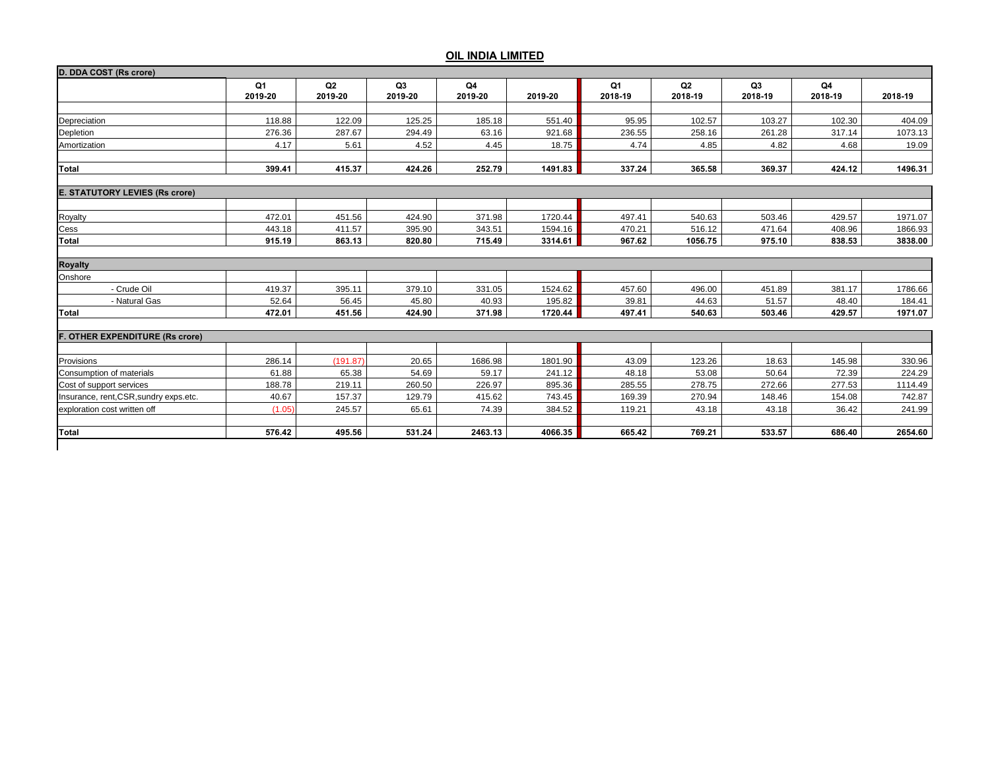| D. DDA COST (Rs crore)                 |               |                           |               |               |         |               |               |                           |               |         |
|----------------------------------------|---------------|---------------------------|---------------|---------------|---------|---------------|---------------|---------------------------|---------------|---------|
|                                        | Q1<br>2019-20 | Q <sub>2</sub><br>2019-20 | Q3<br>2019-20 | Q4<br>2019-20 | 2019-20 | Q1<br>2018-19 | Q2<br>2018-19 | Q <sub>3</sub><br>2018-19 | Q4<br>2018-19 | 2018-19 |
|                                        |               |                           |               |               |         |               |               |                           |               |         |
| Depreciation                           | 118.88        | 122.09                    | 125.25        | 185.18        | 551.40  | 95.95         | 102.57        | 103.27                    | 102.30        | 404.09  |
| Depletion                              | 276.36        | 287.67                    | 294.49        | 63.16         | 921.68  | 236.55        | 258.16        | 261.28                    | 317.14        | 1073.13 |
| Amortization                           | 4.17          | 5.61                      | 4.52          | 4.45          | 18.75   | 4.74          | 4.85          | 4.82                      | 4.68          | 19.09   |
| <b>Total</b>                           | 399.41        | 415.37                    | 424.26        | 252.79        | 1491.83 | 337.24        | 365.58        | 369.37                    | 424.12        | 1496.31 |
| <b>E. STATUTORY LEVIES (Rs crore)</b>  |               |                           |               |               |         |               |               |                           |               |         |
| Royalty                                | 472.01        | 451.56                    | 424.90        | 371.98        | 1720.44 | 497.41        | 540.63        | 503.46                    | 429.57        | 1971.07 |
| Cess                                   | 443.18        | 411.57                    | 395.90        | 343.51        | 1594.16 | 470.21        | 516.12        | 471.64                    | 408.96        | 1866.93 |
| Total                                  | 915.19        | 863.13                    | 820.80        | 715.49        | 3314.61 | 967.62        | 1056.75       | 975.10                    | 838.53        | 3838.00 |
|                                        |               |                           |               |               |         |               |               |                           |               |         |
| <b>Royalty</b>                         |               |                           |               |               |         |               |               |                           |               |         |
| Onshore                                |               |                           |               |               |         |               |               |                           |               |         |
| - Crude Oil                            | 419.37        | 395.11                    | 379.10        | 331.05        | 1524.62 | 457.60        | 496.00        | 451.89                    | 381.17        | 1786.66 |
| - Natural Gas                          | 52.64         | 56.45                     | 45.80         | 40.93         | 195.82  | 39.81         | 44.63         | 51.57                     | 48.40         | 184.41  |
| <b>Total</b>                           | 472.01        | 451.56                    | 424.90        | 371.98        | 1720.44 | 497.41        | 540.63        | 503.46                    | 429.57        | 1971.07 |
| <b>F. OTHER EXPENDITURE (Rs crore)</b> |               |                           |               |               |         |               |               |                           |               |         |
|                                        |               |                           |               |               |         |               |               |                           |               |         |
| Provisions                             | 286.14        | (191.87)                  | 20.65         | 1686.98       | 1801.90 | 43.09         | 123.26        | 18.63                     | 145.98        | 330.96  |
| Consumption of materials               | 61.88         | 65.38                     | 54.69         | 59.17         | 241.12  | 48.18         | 53.08         | 50.64                     | 72.39         | 224.29  |
| Cost of support services               | 188.78        | 219.11                    | 260.50        | 226.97        | 895.36  | 285.55        | 278.75        | 272.66                    | 277.53        | 1114.49 |
| Insurance, rent, CSR, sundry exps.etc. | 40.67         | 157.37                    | 129.79        | 415.62        | 743.45  | 169.39        | 270.94        | 148.46                    | 154.08        | 742.87  |
| exploration cost written off           | (1.05)        | 245.57                    | 65.61         | 74.39         | 384.52  | 119.21        | 43.18         | 43.18                     | 36.42         | 241.99  |
| Total                                  | 576.42        | 495.56                    | 531.24        | 2463.13       | 4066.35 | 665.42        | 769.21        | 533.57                    | 686.40        | 2654.60 |